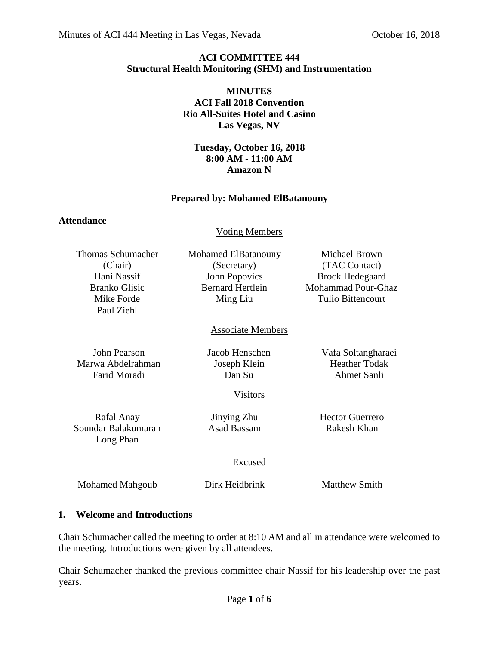## **ACI COMMITTEE 444 Structural Health Monitoring (SHM) and Instrumentation**

## **MINUTES ACI Fall 2018 Convention Rio All-Suites Hotel and Casino Las Vegas, NV**

#### **Tuesday, October 16, 2018 8:00 AM - 11:00 AM Amazon N**

## **Prepared by: Mohamed ElBatanouny**

## **Attendance**

## Voting Members

| Thomas Schumacher    | Mohamed ElBatanouny     | Michael Brown          |
|----------------------|-------------------------|------------------------|
| (Chair)              | (Secretary)             | (TAC Contact)          |
| Hani Nassif          | John Popovics           | <b>Brock Hedegaard</b> |
| <b>Branko Glisic</b> | <b>Bernard Hertlein</b> | Mohammad Pour-Ghaz     |
| Mike Forde           | Ming Liu                | Tulio Bittencourt      |
| Paul Ziehl           |                         |                        |

# Associate Members

Marwa Abdelrahman Joseph Klein Heather Todak Farid Moradi Dan Su Ahmet Sanli

John Pearson Jacob Henschen Vafa Soltangharaei

Visitors

Rafal Anay **Iinying Zhu** Hector Guerrero Soundar Balakumaran Asad Bassam Rakesh Khan Long Phan

# Excused

Mohamed Mahgoub Dirk Heidbrink Matthew Smith

## **1. Welcome and Introductions**

Chair Schumacher called the meeting to order at 8:10 AM and all in attendance were welcomed to the meeting. Introductions were given by all attendees.

Chair Schumacher thanked the previous committee chair Nassif for his leadership over the past years.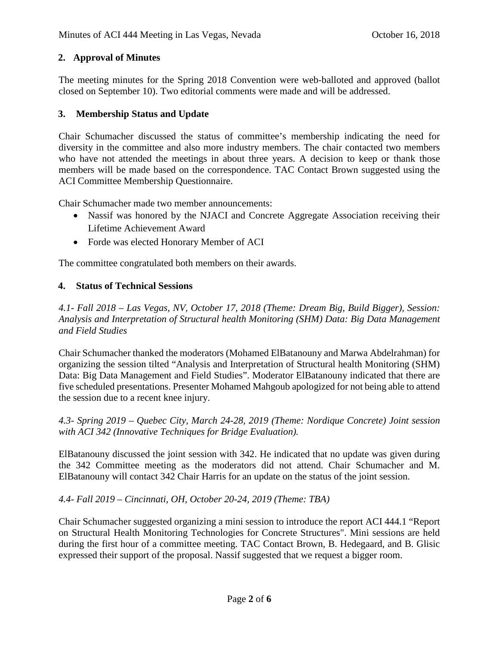# **2. Approval of Minutes**

The meeting minutes for the Spring 2018 Convention were web-balloted and approved (ballot closed on September 10). Two editorial comments were made and will be addressed.

## **3. Membership Status and Update**

Chair Schumacher discussed the status of committee's membership indicating the need for diversity in the committee and also more industry members. The chair contacted two members who have not attended the meetings in about three years. A decision to keep or thank those members will be made based on the correspondence. TAC Contact Brown suggested using the ACI Committee Membership Questionnaire.

Chair Schumacher made two member announcements:

- Nassif was honored by the NJACI and Concrete Aggregate Association receiving their Lifetime Achievement Award
- Forde was elected Honorary Member of ACI

The committee congratulated both members on their awards.

## **4. Status of Technical Sessions**

*4.1- Fall 2018 – Las Vegas, NV, October 17, 2018 (Theme: Dream Big, Build Bigger), Session: Analysis and Interpretation of Structural health Monitoring (SHM) Data: Big Data Management and Field Studies*

Chair Schumacher thanked the moderators (Mohamed ElBatanouny and Marwa Abdelrahman) for organizing the session tilted "Analysis and Interpretation of Structural health Monitoring (SHM) Data: Big Data Management and Field Studies". Moderator ElBatanouny indicated that there are five scheduled presentations. Presenter Mohamed Mahgoub apologized for not being able to attend the session due to a recent knee injury.

*4.3- Spring 2019 – Quebec City, March 24-28, 2019 (Theme: Nordique Concrete) Joint session with ACI 342 (Innovative Techniques for Bridge Evaluation).*

ElBatanouny discussed the joint session with 342. He indicated that no update was given during the 342 Committee meeting as the moderators did not attend. Chair Schumacher and M. ElBatanouny will contact 342 Chair Harris for an update on the status of the joint session.

## *4.4- Fall 2019 – Cincinnati, OH, October 20-24, 2019 (Theme: TBA)*

Chair Schumacher suggested organizing a mini session to introduce the report ACI 444.1 "Report on Structural Health Monitoring Technologies for Concrete Structures". Mini sessions are held during the first hour of a committee meeting. TAC Contact Brown, B. Hedegaard, and B. Glisic expressed their support of the proposal. Nassif suggested that we request a bigger room.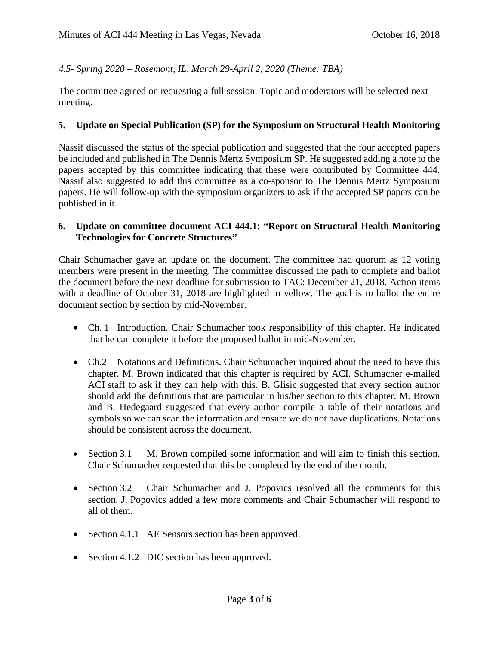## *4.5- Spring 2020 – Rosemont, IL, March 29-April 2, 2020 (Theme: TBA)*

The committee agreed on requesting a full session. Topic and moderators will be selected next meeting.

#### **5. Update on Special Publication (SP) for the Symposium on Structural Health Monitoring**

Nassif discussed the status of the special publication and suggested that the four accepted papers be included and published in The Dennis Mertz Symposium SP. He suggested adding a note to the papers accepted by this committee indicating that these were contributed by Committee 444. Nassif also suggested to add this committee as a co-sponsor to The Dennis Mertz Symposium papers. He will follow-up with the symposium organizers to ask if the accepted SP papers can be published in it.

#### **6. Update on committee document ACI 444.1: "Report on Structural Health Monitoring Technologies for Concrete Structures"**

Chair Schumacher gave an update on the document. The committee had quorum as 12 voting members were present in the meeting. The committee discussed the path to complete and ballot the document before the next deadline for submission to TAC: December 21, 2018. Action items with a deadline of October 31, 2018 are highlighted in yellow. The goal is to ballot the entire document section by section by mid-November.

- Ch. 1 Introduction. Chair Schumacher took responsibility of this chapter. He indicated that he can complete it before the proposed ballot in mid-November.
- Ch.2 Notations and Definitions. Chair Schumacher inquired about the need to have this chapter. M. Brown indicated that this chapter is required by ACI. Schumacher e-mailed ACI staff to ask if they can help with this. B. Glisic suggested that every section author should add the definitions that are particular in his/her section to this chapter. M. Brown and B. Hedegaard suggested that every author compile a table of their notations and symbols so we can scan the information and ensure we do not have duplications. Notations should be consistent across the document.
- Section 3.1 M. Brown compiled some information and will aim to finish this section. Chair Schumacher requested that this be completed by the end of the month.
- Section 3.2 Chair Schumacher and J. Popovics resolved all the comments for this section. J. Popovics added a few more comments and Chair Schumacher will respond to all of them.
- Section 4.1.1 AE Sensors section has been approved.
- Section 4.1.2 DIC section has been approved.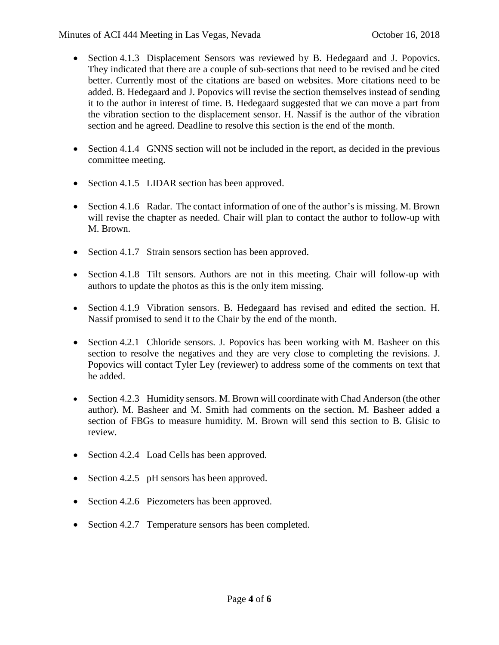- Section 4.1.3 Displacement Sensors was reviewed by B. Hedegaard and J. Popovics. They indicated that there are a couple of sub-sections that need to be revised and be cited better. Currently most of the citations are based on websites. More citations need to be added. B. Hedegaard and J. Popovics will revise the section themselves instead of sending it to the author in interest of time. B. Hedegaard suggested that we can move a part from the vibration section to the displacement sensor. H. Nassif is the author of the vibration section and he agreed. Deadline to resolve this section is the end of the month.
- Section 4.1.4 GNNS section will not be included in the report, as decided in the previous committee meeting.
- Section 4.1.5 LIDAR section has been approved.
- Section 4.1.6 Radar. The contact information of one of the author's is missing. M. Brown will revise the chapter as needed. Chair will plan to contact the author to follow-up with M. Brown.
- Section 4.1.7 Strain sensors section has been approved.
- Section 4.1.8 Tilt sensors. Authors are not in this meeting. Chair will follow-up with authors to update the photos as this is the only item missing.
- Section 4.1.9 Vibration sensors. B. Hedegaard has revised and edited the section. H. Nassif promised to send it to the Chair by the end of the month.
- Section 4.2.1 Chloride sensors. J. Popovics has been working with M. Basheer on this section to resolve the negatives and they are very close to completing the revisions. J. Popovics will contact Tyler Ley (reviewer) to address some of the comments on text that he added.
- Section 4.2.3 Humidity sensors. M. Brown will coordinate with Chad Anderson (the other author). M. Basheer and M. Smith had comments on the section. M. Basheer added a section of FBGs to measure humidity. M. Brown will send this section to B. Glisic to review.
- Section 4.2.4 Load Cells has been approved.
- Section 4.2.5 pH sensors has been approved.
- Section 4.2.6 Piezometers has been approved.
- Section 4.2.7 Temperature sensors has been completed.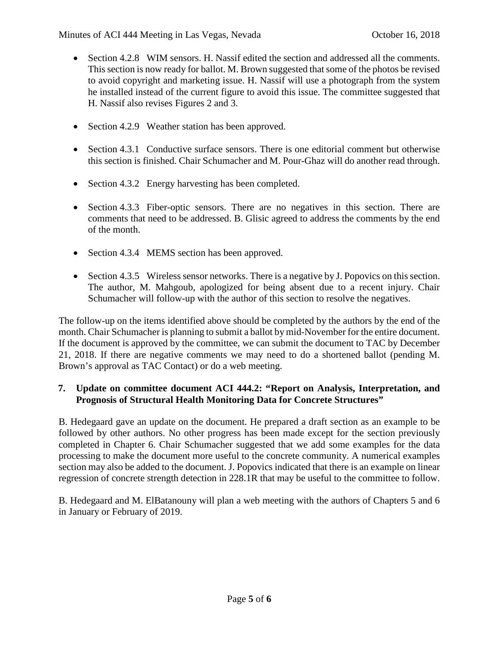- Section 4.2.8 WIM sensors. H. Nassif edited the section and addressed all the comments. This section is now ready for ballot. M. Brown suggested that some of the photos be revised to avoid copyright and marketing issue. H. Nassif will use a photograph from the system he installed instead of the current figure to avoid this issue. The committee suggested that H. Nassif also revises Figures 2 and 3.
- Section 4.2.9 Weather station has been approved.
- Section 4.3.1 Conductive surface sensors. There is one editorial comment but otherwise this section is finished. Chair Schumacher and M. Pour-Ghaz will do another read through.
- Section 4.3.2 Energy harvesting has been completed.
- Section 4.3.3 Fiber-optic sensors. There are no negatives in this section. There are comments that need to be addressed. B. Glisic agreed to address the comments by the end of the month.
- Section 4.3.4 MEMS section has been approved.
- Section 4.3.5 Wireless sensor networks. There is a negative by J. Popovics on this section. The author, M. Mahgoub, apologized for being absent due to a recent injury. Chair Schumacher will follow-up with the author of this section to resolve the negatives.

The follow-up on the items identified above should be completed by the authors by the end of the month. Chair Schumacher is planning to submit a ballot by mid-November for the entire document. If the document is approved by the committee, we can submit the document to TAC by December 21, 2018. If there are negative comments we may need to do a shortened ballot (pending M. Brown's approval as TAC Contact) or do a web meeting.

## **7. Update on committee document ACI 444.2: "Report on Analysis, Interpretation, and Prognosis of Structural Health Monitoring Data for Concrete Structures"**

B. Hedegaard gave an update on the document. He prepared a draft section as an example to be followed by other authors. No other progress has been made except for the section previously completed in Chapter 6. Chair Schumacher suggested that we add some examples for the data processing to make the document more useful to the concrete community. A numerical examples section may also be added to the document. J. Popovics indicated that there is an example on linear regression of concrete strength detection in 228.1R that may be useful to the committee to follow.

B. Hedegaard and M. ElBatanouny will plan a web meeting with the authors of Chapters 5 and 6 in January or February of 2019.